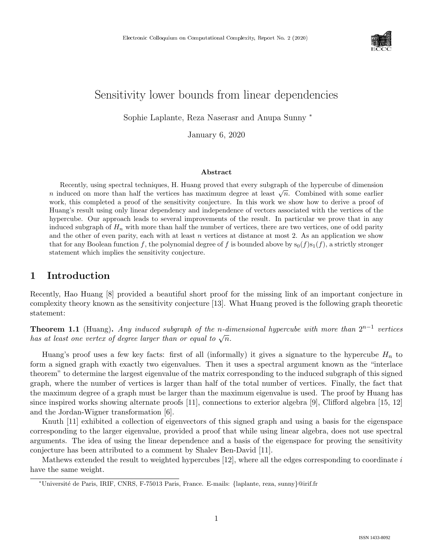

# Sensitivity lower bounds from linear dependencies

Sophie Laplante, Reza Naserasr and Anupa Sunny <sup>∗</sup>

January 6, 2020

#### Abstract

Recently, using spectral techniques, H. Huang proved that every subgraph of the hypercube of dimension n induced on more than half the vertices has maximum degree at least  $\sqrt{n}$ . Combined with some earlier work, this completed a proof of the sensitivity conjecture. In this work we show how to derive a proof of Huang's result using only linear dependency and independence of vectors associated with the vertices of the hypercube. Our approach leads to several improvements of the result. In particular we prove that in any induced subgraph of  $H_n$  with more than half the number of vertices, there are two vertices, one of odd parity and the other of even parity, each with at least  $n$  vertices at distance at most 2. As an application we show that for any Boolean function f, the polynomial degree of f is bounded above by  $s_0(f)s_1(f)$ , a strictly stronger statement which implies the sensitivity conjecture.

# 1 Introduction

Recently, Hao Huang [8] provided a beautiful short proof for the missing link of an important conjecture in complexity theory known as the sensitivity conjecture [13]. What Huang proved is the following graph theoretic statement:

**Theorem 1.1** (Huang). Any induced subgraph of the n-dimensional hypercube with more than  $2^{n-1}$  vertices **has at least one vertex of degree larger than or equal to**  $\sqrt{n}$ **.** 

Huang's proof uses a few key facts: first of all (informally) it gives a signature to the hypercube  $H_n$  to form a signed graph with exactly two eigenvalues. Then it uses a spectral argument known as the "interlace theorem" to determine the largest eigenvalue of the matrix corresponding to the induced subgraph of this signed graph, where the number of vertices is larger than half of the total number of vertices. Finally, the fact that the maximum degree of a graph must be larger than the maximum eigenvalue is used. The proof by Huang has since inspired works showing alternate proofs [11], connections to exterior algebra [9], Clifford algebra [15, 12] and the Jordan-Wigner transformation [6].

Knuth [11] exhibited a collection of eigenvectors of this signed graph and using a basis for the eigenspace corresponding to the larger eigenvalue, provided a proof that while using linear algebra, does not use spectral arguments. The idea of using the linear dependence and a basis of the eigenspace for proving the sensitivity conjecture has been attributed to a comment by Shalev Ben-David [11].

Mathews extended the result to weighted hypercubes  $[12]$ , where all the edges corresponding to coordinate i have the same weight.

<sup>∗</sup>Universit´e de Paris, IRIF, CNRS, F-75013 Paris, France. E-mails: {laplante, reza, sunny}@irif.fr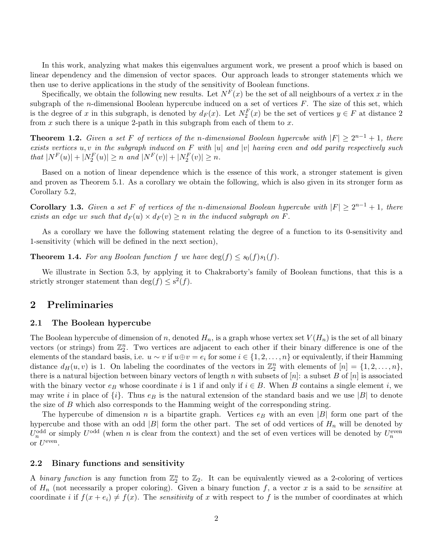In this work, analyzing what makes this eigenvalues argument work, we present a proof which is based on linear dependency and the dimension of vector spaces. Our approach leads to stronger statements which we then use to derive applications in the study of the sensitivity of Boolean functions.

Specifically, we obtain the following new results. Let  $N^F(x)$  be the set of all neighbours of a vertex x in the subgraph of the *n*-dimensional Boolean hypercube induced on a set of vertices  $F$ . The size of this set, which is the degree of x in this subgraph, is denoted by  $d_F(x)$ . Let  $N_2^F(x)$  be the set of vertices  $y \in F$  at distance 2 from  $x$  such there is a unique 2-path in this subgraph from each of them to  $x$ .

**Theorem 1.2.** Given a set F of vertices of the n-dimensional Boolean hypercube with  $|F| \ge 2^{n-1} + 1$ , there exists vertices  $u, v$  in the subgraph induced on F with |u| and |v| having even and odd parity respectively such that  $|N^F(u)| + |N^F_2(u)| \ge n$  and  $|N^F(v)| + |N^F_2(v)| \ge n$ .

Based on a notion of linear dependence which is the essence of this work, a stronger statement is given and proven as Theorem 5.1. As a corollary we obtain the following, which is also given in its stronger form as Corollary 5.2,

**Corollary 1.3.** Given a set F of vertices of the n-dimensional Boolean hypercube with  $|F| \ge 2^{n-1} + 1$ , there exists an edge uv such that  $d_F(u) \times d_F(v) \geq n$  in the induced subgraph on F.

As a corollary we have the following statement relating the degree of a function to its 0-sensitivity and 1-sensitivity (which will be defined in the next section),

**Theorem 1.4.** For any Boolean function f we have  $\deg(f) \leq s_0(f)s_1(f)$ .

We illustrate in Section 5.3, by applying it to Chakraborty's family of Boolean functions, that this is a strictly stronger statement than  $\deg(f) \leq s^2(f)$ .

# 2 Preliminaries

### 2.1 The Boolean hypercube

The Boolean hypercube of dimension of n, denoted  $H_n$ , is a graph whose vertex set  $V(H_n)$  is the set of all binary vectors (or strings) from  $\mathbb{Z}_2^n$ . Two vertices are adjacent to each other if their binary difference is one of the elements of the standard basis, i.e.  $u \sim v$  if  $u \oplus v = e_i$  for some  $i \in \{1, 2, \ldots, n\}$  or equivalently, if their Hamming distance  $d_H(u, v)$  is 1. On labeling the coordinates of the vectors in  $\mathbb{Z}_2^n$  with elements of  $[n] = \{1, 2, ..., n\}$ , there is a natural bijection between binary vectors of length n with subsets of  $[n]$ : a subset B of  $[n]$  is associated with the binary vector  $e_B$  whose coordinate i is 1 if and only if  $i \in B$ . When B contains a single element i, we may write i in place of  $\{i\}$ . Thus  $e_B$  is the natural extension of the standard basis and we use |B| to denote the size of B which also corresponds to the Hamming weight of the corresponding string.

The hypercube of dimension n is a bipartite graph. Vertices  $e_B$  with an even |B| form one part of the hypercube and those with an odd |B| form the other part. The set of odd vertices of  $H_n$  will be denoted by  $U_n^{\text{odd}}$  or simply  $U^{\text{odd}}$  (when n is clear from the context) and the set of even vertices will be denoted by  $U_n^{\text{even}}$ or  $U^{\text{even}}$ .

### 2.2 Binary functions and sensitivity

A binary function is any function from  $\mathbb{Z}_2^n$  to  $\mathbb{Z}_2$ . It can be equivalently viewed as a 2-coloring of vertices of  $H_n$  (not necessarily a proper coloring). Given a binary function f, a vector x is a said to be *sensitive* at coordinate i if  $f(x + e_i) \neq f(x)$ . The sensitivity of x with respect to f is the number of coordinates at which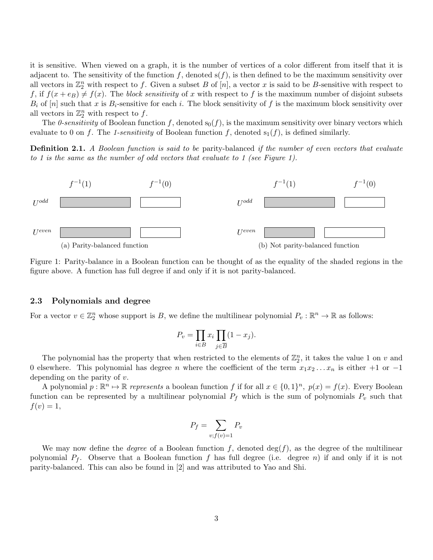it is sensitive. When viewed on a graph, it is the number of vertices of a color different from itself that it is adjacent to. The sensitivity of the function f, denoted  $s(f)$ , is then defined to be the maximum sensitivity over all vectors in  $\mathbb{Z}_2^n$  with respect to f. Given a subset B of  $[n]$ , a vector x is said to be B-sensitive with respect to f, if  $f(x+e_B) \neq f(x)$ . The block sensitivity of x with respect to f is the maximum number of disjoint subsets  $B_i$  of  $[n]$  such that x is  $B_i$ -sensitive for each i. The block sensitivity of f is the maximum block sensitivity over all vectors in  $\mathbb{Z}_2^n$  with respect to f.

The 0-sensitivity of Boolean function f, denoted  $s_0(f)$ , is the maximum sensitivity over binary vectors which evaluate to 0 on f. The 1-sensitivity of Boolean function f, denoted  $s_1(f)$ , is defined similarly.

Definition 2.1. A Boolean function is said to be parity-balanced if the number of even vectors that evaluate to 1 is the same as the number of odd vectors that evaluate to 1 (see Figure 1).



Figure 1: Parity-balance in a Boolean function can be thought of as the equality of the shaded regions in the figure above. A function has full degree if and only if it is not parity-balanced.

#### 2.3 Polynomials and degree

For a vector  $v \in \mathbb{Z}_2^n$  whose support is B, we define the multilinear polynomial  $P_v : \mathbb{R}^n \to \mathbb{R}$  as follows:

$$
P_v = \prod_{i \in B} x_i \prod_{j \in \overline{B}} (1 - x_j).
$$

The polynomial has the property that when restricted to the elements of  $\mathbb{Z}_2^n$ , it takes the value 1 on v and 0 elsewhere. This polynomial has degree *n* where the coefficient of the term  $x_1x_2 \ldots x_n$  is either +1 or −1 depending on the parity of v.

A polynomial  $p : \mathbb{R}^n \to \mathbb{R}$  represents a boolean function f if for all  $x \in \{0,1\}^n$ ,  $p(x) = f(x)$ . Every Boolean function can be represented by a multilinear polynomial  $P_f$  which is the sum of polynomials  $P_v$  such that  $f(v) = 1,$ 

$$
P_f = \sum_{v; f(v) = 1} P_v
$$

We may now define the *degree* of a Boolean function f, denoted  $\deg(f)$ , as the degree of the multilinear polynomial  $P_f$ . Observe that a Boolean function f has full degree (i.e. degree n) if and only if it is not parity-balanced. This can also be found in [2] and was attributed to Yao and Shi.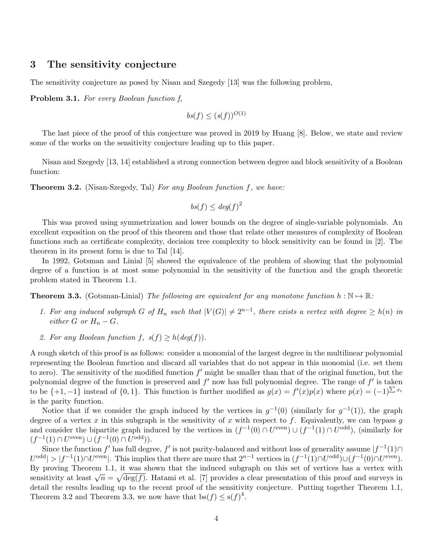# 3 The sensitivity conjecture

The sensitivity conjecture as posed by Nisan and Szegedy [13] was the following problem,

Problem 3.1. For every Boolean function f,

$$
bs(f) \le (s(f))^{O(1)}
$$

The last piece of the proof of this conjecture was proved in 2019 by Huang [8]. Below, we state and review some of the works on the sensitivity conjecture leading up to this paper.

Nisan and Szegedy [13, 14] established a strong connection between degree and block sensitivity of a Boolean function:

Theorem 3.2. (Nisan-Szegedy, Tal) For any Boolean function f, we have:

$$
bs(f) \le deg(f)^2
$$

This was proved using symmetrization and lower bounds on the degree of single-variable polynomials. An excellent exposition on the proof of this theorem and those that relate other measures of complexity of Boolean functions such as certificate complexity, decision tree complexity to block sensitivity can be found in [2]. The theorem in its present form is due to Tal [14].

In 1992, Gotsman and Linial [5] showed the equivalence of the problem of showing that the polynomial degree of a function is at most some polynomial in the sensitivity of the function and the graph theoretic problem stated in Theorem 1.1.

**Theorem 3.3.** (Gotsman-Linial) The following are equivalent for any monotone function  $h : \mathbb{N} \to \mathbb{R}$ :

- 1. For any induced subgraph G of  $H_n$  such that  $|V(G)| \neq 2^{n-1}$ , there exists a vertex with degree  $\geq h(n)$  in either G or  $H_n - G$ .
- 2. For any Boolean function f,  $s(f) \geq h(\deg(f)).$

A rough sketch of this proof is as follows: consider a monomial of the largest degree in the multilinear polynomial representing the Boolean function and discard all variables that do not appear in this monomial (i.e. set them to zero). The sensitivity of the modified function  $f'$  might be smaller than that of the original function, but the polynomial degree of the function is preserved and  $f'$  now has full polynomial degree. The range of  $f'$  is taken to be  $\{+1,-1\}$  instead of  $\{0,1\}$ . This function is further modified as  $g(x) = f'(x)p(x)$  where  $p(x) = (-1)^{\sum x_i}$ is the parity function.

Notice that if we consider the graph induced by the vertices in  $g^{-1}(0)$  (similarly for  $g^{-1}(1)$ ), the graph degree of a vertex x in this subgraph is the sensitivity of x with respect to f. Equivalently, we can bypass q and consider the bipartite graph induced by the vertices in  $(f^{-1}(0) \cap U^{\text{even}}) \cup (f^{-1}(1) \cap U^{\text{odd}})$ , (similarly for  $(f^{-1}(1) \cap U^{\text{even}}) \cup (f^{-1}(0) \cap U^{\text{odd}})).$ 

Since the function  $f'$  has full degree,  $f'$  is not parity-balanced and without loss of generality assume  $|f^{-1}(1) \cap$  $U^{\text{odd}}$  >  $|f^{-1}(1) \cap U^{\text{even}}|$ . This implies that there are more that  $2^{n-1}$  vertices in  $(f^{-1}(1) \cap U^{\text{odd}}) \cup (f^{-1}(0) \cap U^{\text{even}})$ . By proving Theorem 1.1, it was shown that the induced subgraph on this set of vertices has a vertex with By proving Theorem 1.1, it was shown that the induced subgraph on this set of vertices has a vertex with<br>sensitivity at least  $\sqrt{n} = \sqrt{\deg(f)}$ . Hatami et al. [7] provides a clear presentation of this proof and surveys in detail the results leading up to the recent proof of the sensitivity conjecture. Putting together Theorem 1.1, Theorem 3.2 and Theorem 3.3, we now have that  $bs(f) \le s(f)^4$ .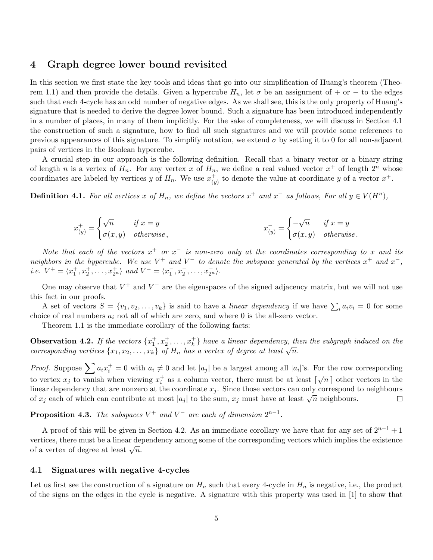# 4 Graph degree lower bound revisited

In this section we first state the key tools and ideas that go into our simplification of Huang's theorem (Theorem 1.1) and then provide the details. Given a hypercube  $H_n$ , let  $\sigma$  be an assignment of + or − to the edges such that each 4-cycle has an odd number of negative edges. As we shall see, this is the only property of Huang's signature that is needed to derive the degree lower bound. Such a signature has been introduced independently in a number of places, in many of them implicitly. For the sake of completeness, we will discuss in Section 4.1 the construction of such a signature, how to find all such signatures and we will provide some references to previous appearances of this signature. To simplify notation, we extend  $\sigma$  by setting it to 0 for all non-adjacent pairs of vertices in the Boolean hypercube.

A crucial step in our approach is the following definition. Recall that a binary vector or a binary string of length n is a vertex of  $H_n$ . For any vertex x of  $H_n$ , we define a real valued vector  $x^+$  of length  $2^n$  whose coordinates are labeled by vertices y of  $H_n$ . We use  $x_{\alpha}^+$  $(y<sup>+</sup>)$  to denote the value at coordinate y of a vector  $x<sup>+</sup>$ .

**Definition 4.1.** For all vertices x of  $H_n$ , we define the vectors  $x^+$  and  $x^-$  as follows, For all  $y \in V(H^n)$ ,

$$
x_{(y)}^{+} = \begin{cases} \sqrt{n} & \text{if } x = y \\ \sigma(x, y) & \text{otherwise} \end{cases}, \qquad x_{(y)}^{-} = \begin{cases} -\sqrt{n} & \text{if } x = y \\ \sigma(x, y) & \text{otherwise} \end{cases}.
$$

Note that each of the vectors  $x^+$  or  $x^-$  is non-zero only at the coordinates corresponding to x and its neighbors in the hypercube. We use  $V^+$  and  $V^-$  to denote the subspace generated by the vertices  $x^+$  and  $x^-$ , *i.e.*  $V^+ = \langle x_1^+, x_2^+, \ldots, x_{2^n}^+ \rangle$  and  $V^- = \langle x_1^-, x_2^-, \ldots, x_{2^n}^- \rangle$ .

One may observe that  $V^+$  and  $V^-$  are the eigenspaces of the signed adjacency matrix, but we will not use this fact in our proofs.

A set of vectors  $S = \{v_1, v_2, \ldots, v_k\}$  is said to have a linear dependency if we have  $\sum_i a_i v_i = 0$  for some choice of real numbers  $a_i$  not all of which are zero, and where 0 is the all-zero vector.

Theorem 1.1 is the immediate corollary of the following facts:

**Observation 4.2.** If the vectors  $\{x_1^+, x_2^+, \ldots, x_k^+\}$  have a linear dependency, then the subgraph induced on the **COSET VALION 4.2.** If the becomes  $\{x_1, x_2, ..., x_k\}$  of  $H_n$  has a vertex of degree at least  $\sqrt{n}$ .

*Proof.* Suppose  $\sum a_i x_i^+ = 0$  with  $a_i \neq 0$  and let  $|a_j|$  be a largest among all  $|a_i|$ 's. For the row corresponding to vertex  $x_j$  to vanish when viewing  $x_i^+$  as a column vector, there must be at least  $\lceil \sqrt{n} \rceil$  other vectors in the linear dependency that are nonzero at the coordinate  $x_j$ . Since those vectors can only correspond to neighbours of  $x_j$  each of which can contribute at most  $|a_j|$  to the sum,  $x_j$  must have at least  $\sqrt{n}$  neighbours.  $\Box$ 

**Proposition 4.3.** The subspaces  $V^+$  and  $V^-$  are each of dimension  $2^{n-1}$ .

A proof of this will be given in Section 4.2. As an immediate corollary we have that for any set of  $2^{n-1}+1$ vertices, there must be a linear dependency among some of the corresponding vectors which implies the existence vertices, there must be a linear dep<br>of a vertex of degree at least  $\sqrt{n}$ .

### 4.1 Signatures with negative 4-cycles

Let us first see the construction of a signature on  $H_n$  such that every 4-cycle in  $H_n$  is negative, i.e., the product of the signs on the edges in the cycle is negative. A signature with this property was used in [1] to show that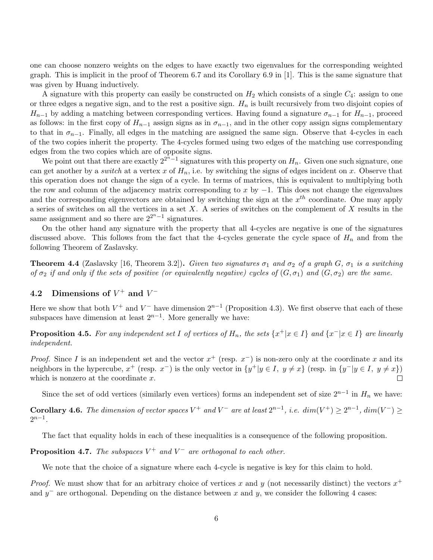one can choose nonzero weights on the edges to have exactly two eigenvalues for the corresponding weighted graph. This is implicit in the proof of Theorem 6.7 and its Corollary 6.9 in [1]. This is the same signature that was given by Huang inductively.

A signature with this property can easily be constructed on  $H_2$  which consists of a single  $C_4$ : assign to one or three edges a negative sign, and to the rest a positive sign.  $H_n$  is built recursively from two disjoint copies of  $H_{n-1}$  by adding a matching between corresponding vertices. Having found a signature  $\sigma_{n-1}$  for  $H_{n-1}$ , proceed as follows: in the first copy of  $H_{n-1}$  assign signs as in  $\sigma_{n-1}$ , and in the other copy assign signs complementary to that in  $\sigma_{n-1}$ . Finally, all edges in the matching are assigned the same sign. Observe that 4-cycles in each of the two copies inherit the property. The 4-cycles formed using two edges of the matching use corresponding edges from the two copies which are of opposite signs.

We point out that there are exactly  $2^{2n-1}$  signatures with this property on  $H_n$ . Given one such signature, one can get another by a *switch* at a vertex x of  $H_n$ , i.e. by switching the signs of edges incident on x. Observe that this operation does not change the sign of a cycle. In terms of matrices, this is equivalent to multiplying both the row and column of the adjacency matrix corresponding to x by  $-1$ . This does not change the eigenvalues and the corresponding eigenvectors are obtained by switching the sign at the  $x^{th}$  coordinate. One may apply a series of switches on all the vertices in a set  $X$ . A series of switches on the complement of  $X$  results in the same assignment and so there are  $2^{2^n-1}$  signatures.

On the other hand any signature with the property that all 4-cycles are negative is one of the signatures discussed above. This follows from the fact that the 4-cycles generate the cycle space of  $H_n$  and from the following Theorem of Zaslavsky.

**Theorem 4.4** (Zaslavsky [16, Theorem 3.2]). Given two signatures  $\sigma_1$  and  $\sigma_2$  of a graph G,  $\sigma_1$  is a switching of  $\sigma_2$  if and only if the sets of positive (or equivalently negative) cycles of  $(G, \sigma_1)$  and  $(G, \sigma_2)$  are the same.

# 4.2 Dimensions of  $V^+$  and  $V^-$

Here we show that both  $V^+$  and  $V^-$  have dimension  $2^{n-1}$  (Proposition 4.3). We first observe that each of these subspaces have dimension at least  $2^{n-1}$ . More generally we have:

**Proposition 4.5.** For any independent set I of vertices of  $H_n$ , the sets  $\{x^+|x \in I\}$  and  $\{x^-|x \in I\}$  are linearly independent.

*Proof.* Since I is an independent set and the vector  $x^+$  (resp.  $x^-$ ) is non-zero only at the coordinate x and its neighbors in the hypercube,  $x^+$  (resp.  $x^-$ ) is the only vector in  $\{y^+|y\in I, y\neq x\}$  (resp. in  $\{y^-|y\in I, y\neq x\}$ ) which is nonzero at the coordinate  $x$ .  $\Box$ 

Since the set of odd vertices (similarly even vertices) forms an independent set of size  $2^{n-1}$  in  $H_n$  we have:

**Corollary 4.6.** The dimension of vector spaces  $V^+$  and  $V^-$  are at least  $2^{n-1}$ , i.e.  $dim(V^+) \geq 2^{n-1}$ ,  $dim(V^-) \geq$  $2^{n-1}$ .

The fact that equality holds in each of these inequalities is a consequence of the following proposition.

**Proposition 4.7.** The subspaces  $V^+$  and  $V^-$  are orthogonal to each other.

We note that the choice of a signature where each 4-cycle is negative is key for this claim to hold.

*Proof.* We must show that for an arbitrary choice of vertices x and y (not necessarily distinct) the vectors  $x^+$ and  $y^-$  are orthogonal. Depending on the distance between x and y, we consider the following 4 cases: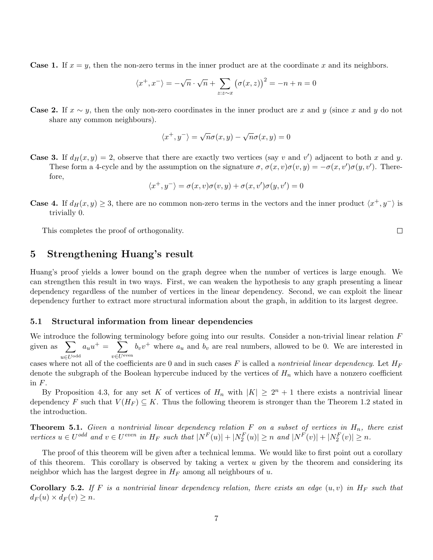**Case 1.** If  $x = y$ , then the non-zero terms in the inner product are at the coordinate x and its neighbors.

$$
\langle x^+, x^- \rangle = -\sqrt{n} \cdot \sqrt{n} + \sum_{z: z \sim x} (\sigma(x, z))^2 = -n + n = 0
$$

**Case 2.** If  $x \sim y$ , then the only non-zero coordinates in the inner product are x and y (since x and y do not share any common neighbours).

$$
\langle x^+, y^- \rangle = \sqrt{n}\sigma(x, y) - \sqrt{n}\sigma(x, y) = 0
$$

**Case 3.** If  $d_H(x, y) = 2$ , observe that there are exactly two vertices (say v and v') adjacent to both x and y. These form a 4-cycle and by the assumption on the signature  $\sigma$ ,  $\sigma(x, v)\sigma(v, y) = -\sigma(x, v')\sigma(y, v')$ . Therefore,

$$
\langle x^+, y^- \rangle = \sigma(x, v)\sigma(v, y) + \sigma(x, v')\sigma(y, v') = 0
$$

**Case 4.** If  $d_H(x, y) \geq 3$ , there are no common non-zero terms in the vectors and the inner product  $\langle x^+, y^- \rangle$  is trivially 0.

This completes the proof of orthogonality.

## 5 Strengthening Huang's result

Huang's proof yields a lower bound on the graph degree when the number of vertices is large enough. We can strengthen this result in two ways. First, we can weaken the hypothesis to any graph presenting a linear dependency regardless of the number of vertices in the linear dependency. Second, we can exploit the linear dependency further to extract more structural information about the graph, in addition to its largest degree.

### 5.1 Structural information from linear dependencies

We introduce the following terminology before going into our results. Consider a non-trivial linear relation F given as  $\sum$  $u \in U^{\text{odd}}$  $a_u u^+ = \sum$  $v \in U^{\text{even}}$  $b_v v^+$  where  $a_u$  and  $b_v$  are real numbers, allowed to be 0. We are interested in

cases where not all of the coefficients are 0 and in such cases F is called a nontrivial linear dependency. Let  $H_F$ denote the subgraph of the Boolean hypercube induced by the vertices of  $H_n$  which have a nonzero coefficient in  $F$ .

By Proposition 4.3, for any set K of vertices of  $H_n$  with  $|K| \geq 2^n + 1$  there exists a nontrivial linear dependency F such that  $V(H_F) \subseteq K$ . Thus the following theorem is stronger than the Theorem 1.2 stated in the introduction.

**Theorem 5.1.** Given a nontrivial linear dependency relation F on a subset of vertices in  $H_n$ , there exist vertices  $u \in U^{odd}$  and  $v \in U^{even}$  in  $H_F$  such that  $|N^F(u)| + |N^F_2(u)| \geq n$  and  $|N^F(v)| + |N^F_2(v)| \geq n$ .

The proof of this theorem will be given after a technical lemma. We would like to first point out a corollary of this theorem. This corollary is observed by taking a vertex  $u$  given by the theorem and considering its neighbor which has the largest degree in  $H_F$  among all neighbours of u.

**Corollary 5.2.** If F is a nontrivial linear dependency relation, there exists an edge  $(u, v)$  in  $H_F$  such that  $d_F(u) \times d_F(v) \geq n$ .

 $\Box$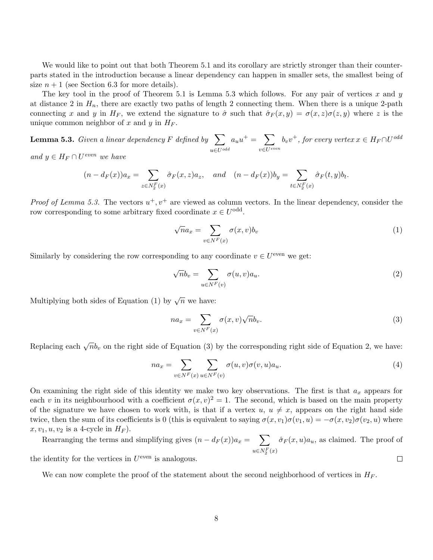We would like to point out that both Theorem 5.1 and its corollary are strictly stronger than their counterparts stated in the introduction because a linear dependency can happen in smaller sets, the smallest being of size  $n+1$  (see Section 6.3 for more details).

The key tool in the proof of Theorem 5.1 is Lemma 5.3 which follows. For any pair of vertices x and y at distance 2 in  $H_n$ , there are exactly two paths of length 2 connecting them. When there is a unique 2-path connecting x and y in H<sub>F</sub>, we extend the signature to  $\hat{\sigma}$  such that  $\hat{\sigma}_F(x, y) = \sigma(x, z)\sigma(z, y)$  where z is the unique common neighbor of x and y in  $H_F$ .

**Lemma 5.3.** Given a linear dependency F defined by  $\sum$  $u\in U^{odd}$  $a_u u^+ = \sum$  $v \in U^{even}$  $b_v v^+$ , for every vertex  $x \in H_F \cap U^{odd}$ and  $y \in H_F \cap U^{even}$  we have

$$
(n - d_F(x))a_x = \sum_{z \in N_2^F(x)} \hat{\sigma}_F(x, z)a_z, \quad and \quad (n - d_F(x))b_y = \sum_{t \in N_2^F(x)} \hat{\sigma}_F(t, y)b_t.
$$

*Proof of Lemma 5.3.* The vectors  $u^+, v^+$  are viewed as column vectors. In the linear dependency, consider the row corresponding to some arbitrary fixed coordinate  $x \in U^{\text{odd}}$ .

$$
\sqrt{n}a_x = \sum_{v \in N^F(x)} \sigma(x, v)b_v \tag{1}
$$

Similarly by considering the row corresponding to any coordinate  $v \in U^{\text{even}}$  we get:

$$
\sqrt{n}b_v = \sum_{u \in N^F(v)} \sigma(u, v)a_u.
$$
\n(2)

Multiplying both sides of Equation (1) by  $\sqrt{n}$  we have:

$$
na_x = \sum_{v \in N^F(x)} \sigma(x, v) \sqrt{n} b_v.
$$
\n(3)

Replacing each  $\sqrt{n}b_v$  on the right side of Equation (3) by the corresponding right side of Equation 2, we have:

$$
na_x = \sum_{v \in N^F(x)} \sum_{u \in N^F(v)} \sigma(u, v)\sigma(v, u)a_u.
$$
\n(4)

On examining the right side of this identity we make two key observations. The first is that  $a_x$  appears for each v in its neighbourhood with a coefficient  $\sigma(x, v)^2 = 1$ . The second, which is based on the main property of the signature we have chosen to work with, is that if a vertex  $u, u \neq x$ , appears on the right hand side twice, then the sum of its coefficients is 0 (this is equivalent to saying  $\sigma(x, v_1)\sigma(v_1, u) = -\sigma(x, v_2)\sigma(v_2, u)$  where  $x, v_1, u, v_2$  is a 4-cycle in  $H_F$ ).

Rearranging the terms and simplifying gives  $(n - d_F(x))a_x = \sum$  $\hat{\sigma}_F(x, u)a_u$ , as claimed. The proof of  $u \in N_2^F(x)$ the identity for the vertices in  $U^{\text{even}}$  is analogous.  $\Box$ 

We can now complete the proof of the statement about the second neighborhood of vertices in  $H_F$ .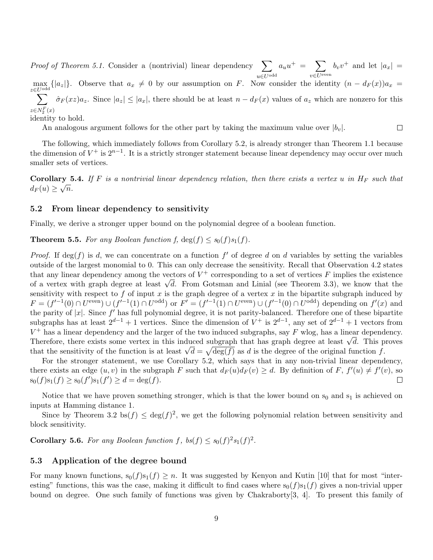*Proof of Theorem 5.1.* Consider a (nontrivial) linear dependency  $\sum$  $u \in U^{\text{odd}}$  $a_u u^+ = \sum$  $v \in U^{\text{even}}$  $b_v v^+$  and let  $|a_x|$  =

 $\max_{z \in U$ <sup>odd</sup> {|a<sub>z</sub>|}. Observe that  $a_x \neq 0$  by our assumption on F. Now consider the identity  $(n - d_F(x))a_x =$  $\sum$  $z \in N_2^F(x)$  $\hat{\sigma}_F(xz)a_z$ . Since  $|a_z| \le |a_x|$ , there should be at least  $n - d_F(x)$  values of  $a_z$  which are nonzero for this

identity to hold.

An analogous argument follows for the other part by taking the maximum value over  $|b_v|$ .

 $\Box$ 

The following, which immediately follows from Corollary 5.2, is already stronger than Theorem 1.1 because the dimension of  $V^+$  is  $2^{n-1}$ . It is a strictly stronger statement because linear dependency may occur over much smaller sets of vertices.

**Corollary 5.4.** If F is a nontrivial linear dependency relation, then there exists a vertex u in  $H_F$  such that  $d_F(u) \geq \sqrt{n}$ .

### 5.2 From linear dependency to sensitivity

Finally, we derive a stronger upper bound on the polynomial degree of a boolean function.

**Theorem 5.5.** For any Boolean function f,  $\deg(f) \leq s_0(f)s_1(f)$ .

*Proof.* If  $deg(f)$  is d, we can concentrate on a function  $f'$  of degree d on d variables by setting the variables outside of the largest monomial to 0. This can only decrease the sensitivity. Recall that Observation 4.2 states that any linear dependency among the vectors of  $V^+$  corresponding to a set of vertices F implies the existence that any linear dependency among the vectors of  $V^+$  corresponding to a set of vertices  $F$  implies the existence of a vertex with graph degree at least  $\sqrt{d}$ . From Gotsman and Linial (see Theorem 3.3), we know that th sensitivity with respect to  $f$  of input  $x$  is the graph degree of a vertex  $x$  in the bipartite subgraph induced by  $F = (f^{-1}(0) \cap U^{\text{even}}) \cup (f^{-1}(1) \cap U^{\text{odd}})$  or  $F' = (f^{-1}(1) \cap U^{\text{even}}) \cup (f^{-1}(0) \cap U^{\text{odd}})$  depending on  $f'(x)$  and the parity of  $|x|$ . Since  $f'$  has full polynomial degree, it is not parity-balanced. Therefore one of these bipartite subgraphs has at least  $2^{d-1} + 1$  vertices. Since the dimension of  $V^+$  is  $2^{d-1}$ , any set of  $2^{d-1} + 1$  vectors from  $V^+$  has a linear dependency and the larger of the two induced subgraphs, say F wlog, has a linear dependency.  $V^+$  has a linear dependency and the larger of the two induced subgraphs, say  $F$  wiog, has a linear dependency.<br>Therefore, there exists some vertex in this induced subgraph that has graph degree at least  $\sqrt{d}$ . This p Therefore, there exists some vertex in this induced subgraph that has graph degree at least  $\sqrt{a}$ . This p that the sensitivity of the function is at least  $\sqrt{d} = \sqrt{\deg(f)}$  as d is the degree of the original function f.

For the stronger statement, we use Corollary 5.2, which says that in any non-trivial linear dependency, there exists an edge  $(u, v)$  in the subgraph F such that  $d_F(u)d_F(v) \geq d$ . By definition of F,  $f'(u) \neq f'(v)$ , so  $s_0(f)s_1(f) \geq s_0(f')s_1(f') \geq d = \deg(f).$  $\Box$ 

Notice that we have proven something stronger, which is that the lower bound on  $s_0$  and  $s_1$  is achieved on inputs at Hamming distance 1.

Since by Theorem 3.2 bs $(f) \leq \deg(f)^2$ , we get the following polynomial relation between sensitivity and block sensitivity.

**Corollary 5.6.** For any Boolean function f,  $bs(f) \leq s_0(f)^2 s_1(f)^2$ .

### 5.3 Application of the degree bound

For many known functions,  $s_0(f)s_1(f) \geq n$ . It was suggested by Kenyon and Kutin [10] that for most "interesting" functions, this was the case, making it difficult to find cases where  $s_0(f)s_1(f)$  gives a non-trivial upper bound on degree. One such family of functions was given by Chakraborty[3, 4]. To present this family of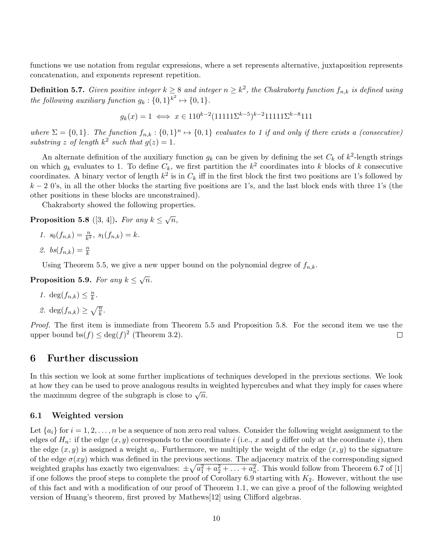functions we use notation from regular expressions, where a set represents alternative, juxtaposition represents concatenation, and exponents represent repetition.

**Definition 5.7.** Given positive integer  $k \geq 8$  and integer  $n \geq k^2$ , the Chakraborty function  $f_{n,k}$  is defined using the following auxiliary function  $g_k: \{0,1\}^{k^2} \mapsto \{0,1\}.$ 

$$
g_k(x) = 1 \iff x \in 110^{k-2} (11111 \Sigma^{k-5})^{k-2} 11111 \Sigma^{k-8} 111
$$

where  $\Sigma = \{0,1\}$ . The function  $f_{n,k}: \{0,1\}^n \mapsto \{0,1\}$  evaluates to 1 if and only if there exists a (consecutive) substring z of length  $k^2$  such that  $g(z) = 1$ .

An alternate definition of the auxiliary function  $g_k$  can be given by defining the set  $C_k$  of  $k^2$ -length strings on which  $g_k$  evaluates to 1. To define  $C_k$ , we first partition the  $k^2$  coordinates into k blocks of k consecutive coordinates. A binary vector of length  $k^2$  is in  $C_k$  iff in the first block the first two positions are 1's followed by  $k-2$  0's, in all the other blocks the starting five positions are 1's, and the last block ends with three 1's (the other positions in these blocks are unconstrained).

Chakraborty showed the following properties.

**Proposition 5.8** ([3, 4]). For any  $k \leq \sqrt{n}$ ,

- 1.  $s_0(f_{n,k}) = \frac{n}{k^2}, s_1(f_{n,k}) = k.$
- 2.  $bs(f_{n,k}) = \frac{n}{k}$

Using Theorem 5.5, we give a new upper bound on the polynomial degree of  $f_{n,k}$ .

Proposition 5.9. For any  $k \leq \sqrt{n}$ .

$$
1. \deg(f_{n,k}) \leq \frac{n}{k}.
$$

2. 
$$
\deg(f_{n,k}) \geq \sqrt{\frac{n}{k}}
$$
.

Proof. The first item is immediate from Theorem 5.5 and Proposition 5.8. For the second item we use the upper bound  $bs(f) \leq deg(f)^2$  (Theorem 3.2).  $\Box$ 

### 6 Further discussion

In this section we look at some further implications of techniques developed in the previous sections. We look at how they can be used to prove analogous results in weighted hypercubes and what they imply for cases where the maximum degree of the subgraph is close to  $\sqrt{n}$ .

### 6.1 Weighted version

Let  $\{a_i\}$  for  $i = 1, 2, \ldots, n$  be a sequence of non zero real values. Consider the following weight assignment to the edges of  $H_n$ : if the edge  $(x, y)$  corresponds to the coordinate i (i.e., x and y differ only at the coordinate i), then the edge  $(x, y)$  is assigned a weight  $a_i$ . Furthermore, we multiply the weight of the edge  $(x, y)$  to the signature of the edge  $\sigma(xy)$  which was defined in the previous sections. The adjacency matrix of the corresponding signed weighted graphs has exactly two eigenvalues:  $\pm \sqrt{a_1^2 + a_2^2 + \ldots + a_n^2}$ . This would follow from Theorem 6.7 of [1] if one follows the proof steps to complete the proof of Corollary 6.9 starting with  $K_2$ . However, without the use of this fact and with a modification of our proof of Theorem 1.1, we can give a proof of the following weighted version of Huang's theorem, first proved by Mathews[12] using Clifford algebras.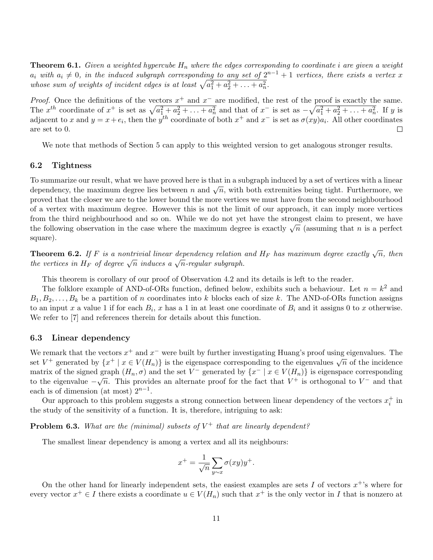**Theorem 6.1.** Given a weighted hypercube  $H_n$  where the edges corresponding to coordinate i are given a weight  $a_i$  with  $a_i \neq 0$ , in the induced subgraph corresponding to any set of  $2^{n-1} + 1$  vertices, there exists a vertex x whose sum of weights of incident edges is at least  $\sqrt{a_1^2 + a_2^2 + \ldots + a_n^2}$ .

*Proof.* Once the definitions of the vectors  $x^+$  and  $x^-$  are modified, the rest of the proof is exactly the same. The  $x^{th}$  coordinate of  $x^+$  is set as  $\sqrt{a_1^2 + a_2^2 + \ldots + a_n^2}$  and that of  $x^-$  is set as  $-\sqrt{a_1^2 + a_2^2 + \ldots + a_n^2}$ . If y is adjacent to x and  $y = x + e_i$ , then the  $y^{th}$  coordinate of both  $x^+$  and  $x^-$  is set as  $\sigma(xy)a_i$ . All other coordinates are set to 0. Е

We note that methods of Section 5 can apply to this weighted version to get analogous stronger results.

#### 6.2 Tightness

To summarize our result, what we have proved here is that in a subgraph induced by a set of vertices with a linear To summarize our result, what we have proved here is that in a subgraph mode of by a set of vertices with a mean<br>dependency, the maximum degree lies between n and  $\sqrt{n}$ , with both extremities being tight. Furthermore, we proved that the closer we are to the lower bound the more vertices we must have from the second neighbourhood of a vertex with maximum degree. However this is not the limit of our approach, it can imply more vertices from the third neighbourhood and so on. While we do not yet have the strongest claim to present, we have the following observation in the case where the maximum degree is exactly  $\sqrt{n}$  (assuming that n is a perfect the following observation in the case where the maximum degree is exactly  $\sqrt{n}$  (assuming that n is a perfect square).

**Theorem 6.2.** If F is a nontrivial linear dependency relation and  $H_F$  has maximum degree exactly  $\sqrt{n}$ , then **Theorem 6.2.** If T is a nontrious integratemently relation the vertices in  $H_F$  of degree  $\sqrt{n}$  induces a  $\sqrt{n}$ -regular subgraph.

This theorem is corollary of our proof of Observation 4.2 and its details is left to the reader.

The folklore example of AND-of-ORs function, defined below, exhibits such a behaviour. Let  $n = k^2$  and  $B_1, B_2, \ldots, B_k$  be a partition of n coordinates into k blocks each of size k. The AND-of-ORs function assigns to an input x a value 1 if for each  $B_i$ , x has a 1 in at least one coordinate of  $B_i$  and it assigns 0 to x otherwise. We refer to [7] and references therein for details about this function.

### 6.3 Linear dependency

We remark that the vectors  $x^+$  and  $x^-$  were built by further investigating Huang's proof using eigenvalues. The we remark that the vectors x and x were built by further investigating ritually s proof using eigenvalues. The set  $V^+$  generated by  $\{x^+ \mid x \in V(H_n)\}$  is the eigenspace corresponding to the eigenvalues  $\sqrt{n}$  of the inci matrix of the signed graph  $(H_n, \sigma)$  and the set  $V^-$  generated by  $\{x^- | x \in V(H_n)\}$  is eigenspace corresponding to the eigenvalue  $-\sqrt{n}$ . This provides an alternate proof for the fact that  $V^+$  is orthogonal to  $V^-$  and that each is of dimension (at most)  $2^{n-1}$ .

Our approach to this problem suggests a strong connection between linear dependency of the vectors  $x_i^+$  in the study of the sensitivity of a function. It is, therefore, intriguing to ask:

## **Problem 6.3.** What are the (minimal) subsets of  $V^+$  that are linearly dependent?

The smallest linear dependency is among a vertex and all its neighbours:

$$
x^{+} = \frac{1}{\sqrt{n}} \sum_{y \sim x} \sigma(xy) y^{+}.
$$

On the other hand for linearly independent sets, the easiest examples are sets I of vectors  $x^+$ 's where for every vector  $x^+ \in I$  there exists a coordinate  $u \in V(H_n)$  such that  $x^+$  is the only vector in I that is nonzero at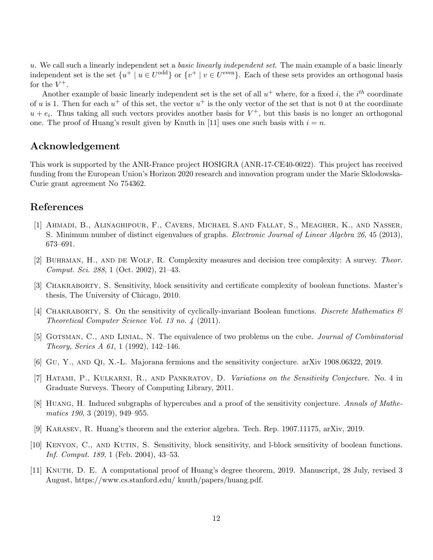u. We call such a linearly independent set a basic linearly independent set. The main example of a basic linearly independent set is the set  $\{u^+ \mid u \in U^{\text{odd}}\}$  or  $\{v^+ \mid v \in U^{\text{even}}\}$ . Each of these sets provides an orthogonal basis for the  $V^+$ .

Another example of basic linearly independent set is the set of all  $u^+$  where, for a fixed i, the i<sup>th</sup> coordinate of u is 1. Then for each  $u^+$  of this set, the vector  $u^+$  is the only vector of the set that is not 0 at the coordinate  $u + e_i$ . Thus taking all such vectors provides another basis for  $V^+$ , but this basis is no longer an orthogonal one. The proof of Huang's result given by Knuth in [11] uses one such basis with  $i = n$ .

# Acknowledgement

This work is supported by the ANR-France project HOSIGRA (ANR-17-CE40-0022). This project has received funding from the European Union's Horizon 2020 research and innovation program under the Marie Sklodowska-Curie grant agreement No 754362.

# References

- [1] Ahmadi, B., Alinaghipour, F., Cavers, Michael S.and Fallat, S., Meagher, K., and Nasser, S. Minimum number of distinct eigenvalues of graphs. Electronic Journal of Linear Algebra 26, 45 (2013), 673–691.
- [2] BUHRMAN, H., AND DE WOLF, R. Complexity measures and decision tree complexity: A survey. Theor. Comput. Sci. 288, 1 (Oct. 2002), 21–43.
- [3] Chakraborty, S. Sensitivity, block sensitivity and certificate complexity of boolean functions. Master's thesis, The University of Chicago, 2010.
- [4] CHAKRABORTY, S. On the sensitivity of cyclically-invariant Boolean functions. Discrete Mathematics  $\mathcal{C}$ Theoretical Computer Science Vol. 13 no. 4 (2011).
- [5] GOTSMAN, C., AND LINIAL, N. The equivalence of two problems on the cube. *Journal of Combinatorial* Theory, Series A 61, 1 (1992), 142–146.
- [6] Gu, Y., and Qi, X.-L. Majorana fermions and the sensitivity conjecture. arXiv 1908.06322, 2019.
- [7] Hatami, P., Kulkarni, R., and Pankratov, D. Variations on the Sensitivity Conjecture. No. 4 in Graduate Surveys. Theory of Computing Library, 2011.
- [8] Huang, H. Induced subgraphs of hypercubes and a proof of the sensitivity conjecture. Annals of Mathematics 190, 3 (2019), 949–955.
- [9] Karasev, R. Huang's theorem and the exterior algebra. Tech. Rep. 1907.11175, arXiv, 2019.
- [10] Kenyon, C., and Kutin, S. Sensitivity, block sensitivity, and l-block sensitivity of boolean functions. Inf. Comput. 189, 1 (Feb. 2004), 43–53.
- [11] Knuth, D. E. A computational proof of Huang's degree theorem, 2019. Manuscript, 28 July, revised 3 August, https://www.cs.stanford.edu/ knuth/papers/huang.pdf.